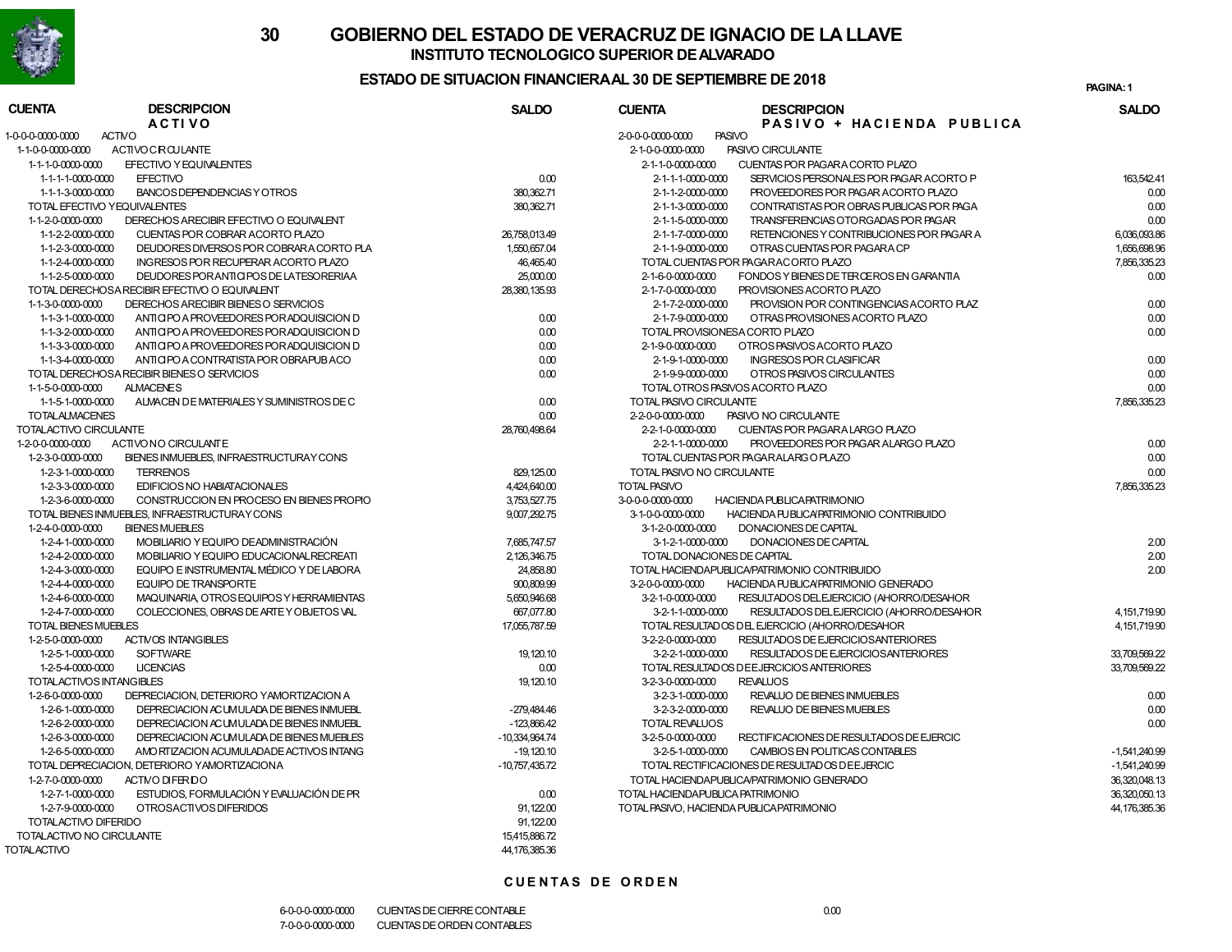

## ESTADO DE SITUACION FINANCIERA AL 30 DE SEPTIEMBRE DE 2018 <sup>1</sup>

PAGINA: 1

| <b>CUENTA</b>                      | <b>DESCRIPCION</b>                            | <b>SALDO</b>     | <b>CUENTA</b><br><b>DESCRIPCION</b>                                 | <b>SALDO</b>     |
|------------------------------------|-----------------------------------------------|------------------|---------------------------------------------------------------------|------------------|
|                                    | <b>ACTIVO</b>                                 |                  | PASIVO + HACIENDA PUBLICA                                           |                  |
| <b>ACTIVO</b><br>1-0-0-0-0000-0000 |                                               |                  | <b>PASIVO</b><br>2-0-0-0-0000-0000                                  |                  |
| 1-1-0-0-0000-0000                  | <b>ACTIVOCROULANTE</b>                        |                  | 2-1-0-0-0000-0000<br>PASIVO CIRCULANTE                              |                  |
| 1-1-1-0-0000-0000                  | EFECTIVO Y EQUIVALENTES                       |                  | 2-1-1-0-0000-0000<br>CUENTAS POR PAGARA CORTO PLAZO                 |                  |
| 1-1-1-1-0000-0000                  | <b>EFECTIVO</b>                               | 0.00             | 2-1-1-1-0000-0000<br>SERVICIOS PERSONALES POR PAGAR ACORTO P        | 163.542.41       |
| 1-1-1-3-0000-0000                  | BANCOS DEPENDENCIAS Y OTROS                   | 380,362.71       | 2-1-1-2-0000-0000<br>PROVEEDORES POR PAGAR ACORTO PLAZO             | 0.00             |
| TOTAL EFECTIVO YEQUIVALENTES       |                                               | 380,362.71       | 2-1-1-3-0000-0000<br>CONTRATISTAS POR OBRAS PUBLICAS POR PAGA       | 0.00             |
| 1-1-2-0-0000-0000                  | DERECHOS ARECIBIR EFECTIVO O EQUIVALENT       |                  | TRANSFERENCIAS OTORGADAS POR PAGAR<br>2-1-1-5-0000-0000             | 0.00             |
| 1-1-2-2-0000-0000                  | CUENTAS POR COBRAR ACORTO PLAZO               | 26,758,013.49    | 2-1-1-7-0000-0000<br>RETENCIONES Y CONTRIBUCIONES POR PAGAR A       | 6,036,093.86     |
| 1-1-2-3-0000-0000                  | DEUDORES DIVERSOS POR COBRARA CORTO PLA       | 1,550,657.04     | 2-1-1-9-0000-0000<br>OTRAS CUENTAS POR PAGARA CP                    | 1,656,698.96     |
| 1-1-2-4-0000-0000                  | INGRESOS POR RECUPERAR ACORTO PLAZO           | 46,465.40        | TOTAL CUENTAS POR PAGARACORTO PLAZO                                 | 7,856,335.23     |
| 1-1-2-5-0000-0000                  | DEUDORES POR ANTICIPOS DE LATESORERIAA        | 25,000.00        | FONDOS Y BIENES DE TERCEROS EN GARANTIA<br>2-1-6-0-0000-0000        | 0.00             |
|                                    | TOTAL DERECHOSA RECIBIR EFECTIVO O EQUIVALENT | 28,380,135.93    | 2-1-7-0-0000-0000<br>PROVISIONES ACORTO PLAZO                       |                  |
| 1-1-3-0-0000-0000                  | DERECHOS ARECIBIR BIENES O SERVICIOS          |                  | 2-1-7-2-0000-0000<br>PROVISION POR CONTINGENCIAS ACORTO PLAZ        | 0.00             |
| 1-1-3-1-0000-0000                  | ANTICIPO A PROVEEDORES POR ADQUISICION D      | 0.00             | OTRAS PROVISIONES ACORTO PLAZO<br>2-1-7-9-0000-0000                 | 0.00             |
| 1-1-3-2-0000-0000                  | ANTICIPO A PROVEEDORES POR ADQUISICION D      | 0.00             | TOTAL PROVISIONES A CORTO PLAZO                                     | 0.00             |
| 1-1-3-3-0000-0000                  | ANTICIPO A PROVEEDORES POR ADQUISICION D      | 0.00             | 2-1-9-0-0000-0000<br>OTROS PASIVOS ACORTO PLAZO                     |                  |
| 1-1-3-4-0000-0000                  | ANTICIPO A CONTRATISTA POR OBRAPUBACO         | 0.00             | 2-1-9-1-0000-0000<br><b>INGRESOS POR CLASIFICAR</b>                 | 0.00             |
|                                    | TOTAL DERECHOSA RECIBIR BIENES O SERVICIOS    | 0.00             | 2-1-9-9-0000-0000<br>OTROS PASIVOS CIRCULANTES                      | 0.00             |
| 1-1-5-0-0000-0000                  | <b>ALMACENES</b>                              |                  | TOTAL OTROS PASIVOS ACORTO PLAZO                                    | 0.00             |
| 1-1-5-1-0000-0000                  | ALMACEN DE MATERIALES Y SUMINISTROS DE C      | 0.00             | TOTAL PASIVO CIRCULANTE                                             | 7,856,335.23     |
| <b>TOTALALMACENES</b>              |                                               | 0.00             | 2-2-0-0-0000-0000<br>PASIVO NO CIRCULANTE                           |                  |
| TOTALACTIVO CIRCULANTE             |                                               | 28,760,498.64    | 2-2-1-0-0000-0000<br>CUENTAS POR PAGARA LARGO PLAZO                 |                  |
| 1-2-0-0-0000-0000                  | ACTIVONO CIRCULANTE                           |                  | PROVEEDORES POR PAGAR ALARGO PLAZO<br>$2 - 2 - 1 - 1 - 0000 - 0000$ | 0.00             |
| 1-2-3-0-0000-0000                  | BIENES INMUEBLES, INFRAESTRUCTURAY CONS       |                  | TOTAL CUENTAS POR PAGARALARG O PLAZO                                | 0.00             |
| 1-2-3-1-0000-0000                  | <b>TERRENOS</b>                               | 829,125.00       | TOTAL PASIVO NO CIRCULANTE                                          | 0.00             |
| 1-2-3-3-0000-0000                  | EDIFICIOS NO HABIATACIONALES                  | 4,424,640.00     | <b>TOTAL PASIVO</b>                                                 | 7,856,335.23     |
| 1-2-3-6-0000-0000                  | CONSTRUCCION EN PROCESO EN BIENES PROPIO      | 3,753,527.75     | 3-0-0-0-0000-0000<br><b>HACIENDA PUBLICAPATRIMONIO</b>              |                  |
|                                    | TOTAL BIENES INMUEBLES. INFRAESTRUCTURAY CONS | 9.007.292.75     | HACIENDA PUBLICA PATRIMONIO CONTRIBUIDO<br>3-1-0-0-0000-0000        |                  |
| 1-2-4-0-0000-0000                  | <b>BIENES MUEBLES</b>                         |                  | DONACIONES DE CAPITAL<br>3-1-2-0-0000-0000                          |                  |
| 1-2-4-1-0000-0000                  | MOBILIARIO Y EQUIPO DE ADMINISTRACIÓN         | 7,685,747.57     | 3-1-2-1-0000-0000<br>DONACIONES DE CAPITAL                          | 200              |
| 1-2-4-2-0000-0000                  | MOBILIARIO Y EQUIPO EDUCACIONAL RECREATI      | 2,126,346.75     | TOTAL DONACIONES DE CAPITAL                                         | 200              |
| 1-2-4-3-0000-0000                  | EQUIPO E INSTRUMENTAL MÉDICO Y DE LABORA      | 24.858.80        | TOTAL HACIENDAPUBLICA/PATRIMONIO CONTRIBUIDO                        | 200              |
| 1-2-4-4-0000-0000                  | EQUIPO DE TRANSPORTE                          | 900,809.99       | 3-2-0-0-0000-0000<br>HACIENDA PUBLICA PATRIMONIO GENERADO           |                  |
| 1-2-4-6-0000-0000                  | MAQUINARIA, OTROS EQUIPOS Y HERRAMIENTAS      | 5,650,946.68     | 3-2-1-0-0000-0000<br>RESULTADOS DEL EJERCICIO (AHORRO/DESAHOR       |                  |
| 1-2-4-7-0000-0000                  | COLECCIONES, OBRAS DE ARTE Y OBJETOS VAL      | 667,077.80       | 3-2-1-1-0000-0000<br>RESULTADOS DEL EJERCICIO (AHORRO/DESAHOR       | 4, 151, 719.90   |
| <b>TOTAL BIENES MUEBLES</b>        |                                               | 17,055,787.59    | TOTAL RESULTADOS DEL EJERCICIO (AHORRO/DESAHOR                      | 4, 151, 719.90   |
| 1-2-5-0-0000-0000                  | <b>ACTIVOS INTANGIBLES</b>                    |                  | 3-2-2-0-0000-0000<br>RESULTADOS DE EJERCICIOS ANTERIORES            |                  |
| 1-2-5-1-0000-0000                  | <b>SOFTWARE</b>                               | 19,120.10        | 3-2-2-1-0000-0000<br>RESULTADOS DE EJERCICIOS ANTERIORES            | 33,709,569.22    |
| 1-2-5-4-0000-0000                  | <b>LICENCIAS</b>                              | 0.00             | TOTAL RESULTADOS DE EJERCICIOS ANTERIORES                           | 33,709,569.22    |
| TOTALACTIVOS INTANGIBLES           |                                               | 19,120.10        | 3-2-3-0-0000-0000<br><b>REVALUOS</b>                                |                  |
| 1-2-6-0-0000-0000                  | DEPRECIACION, DETERIORO YAMORTIZACION A       |                  | REVALUO DE BIENES INMUEBLES<br>3-2-3-1-0000-0000                    | 0.00             |
| 1-2-6-1-0000-0000                  | DEPRECIACION AC UMULADA DE BIENES INMUEBL     | $-279,484.46$    | 3-2-3-2-0000-0000<br>REVALUO DE BIENES MUEBLES                      | 0.00             |
| 1-2-6-2-0000-0000                  | DEPRECIACION ACUMULADA DE BIENES INMUEBL      | $-123,866.42$    | <b>TOTAL REVALUOS</b>                                               | 0.00             |
| 1-2-6-3-0000-0000                  | DEPRECIACION ACUMULADA DE BIENES MUEBLES      | $-10.334.964.74$ | 3-2-5-0-0000-0000<br>RECTIFICACIONES DE RESULTADOS DE EJERCIC       |                  |
| 1-2-6-5-0000-0000                  | AMO RTIZACION ACUMULADADE ACTIVOS INTANG      | $-19,120.10$     | 3-2-5-1-0000-0000<br>CAMBIOS EN POLITICAS CONTABLES                 | -1,541,240.99    |
|                                    | TOTAL DEPRECIACION. DETERIORO YAMORTIZACIONA  | $-10,757,435.72$ | TOTAL RECTIFICACIONES DE RESULTADOS DE EJERCIC                      | $-1,541,240.99$  |
| 1-2-7-0-0000-0000                  | ACTMO DIFERIDO                                |                  | TOTAL HACIENDAPUBLICAPATRIMONIO GENERADO                            | 36,320,048.13    |
| 1-2-7-1-0000-0000                  | ESTUDIOS. FORMULACIÓN Y EVALUACIÓN DE PR      | 0.00             | TOTAL HACIENDA PUBLICA PATRIMONIO                                   | 36,320,050.13    |
| 1-2-7-9-0000-0000                  | OTROSACTIVOS DIFERIDOS                        | 91,122.00        | TOTAL PASIVO, HACIENDA PUBLICA PATRIMONIO                           | 44, 176, 385. 36 |
| TOTALACTIVO DIFERIDO               |                                               | 91,122.00        |                                                                     |                  |
| TOTALACTIVO NO CIRCULANTE          |                                               | 15,415,886.72    |                                                                     |                  |
| TOTAL ACTIVO                       |                                               | 44.176.385.36    |                                                                     |                  |

#### **CUENTAS DE ORDEN**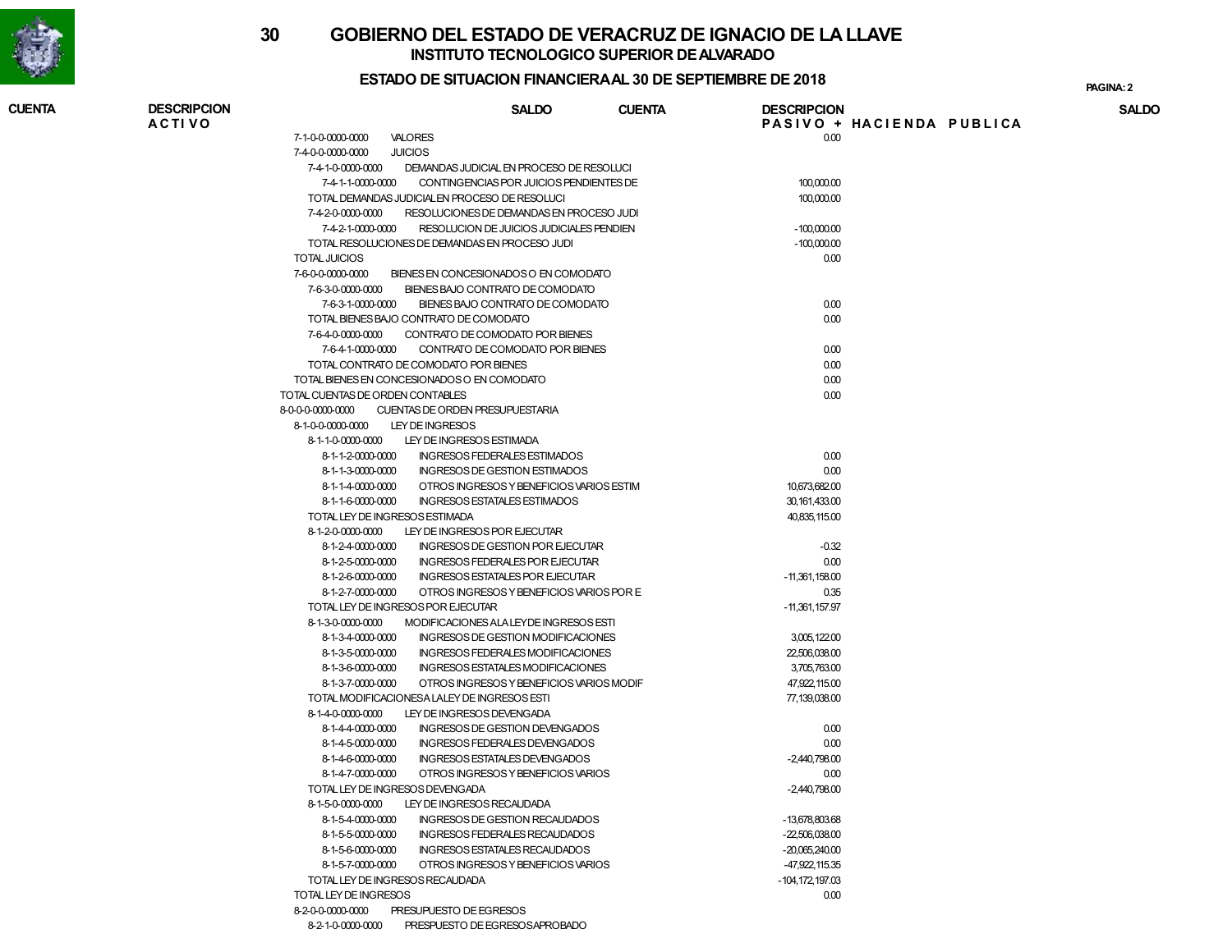

## ESTADO DE SITUACION FINANCIERA AL 30 DE SEPTIEMBRE DE 2018

PAGINA:

| CUENTA | <b>DESCRIPCION</b><br><b>ACTIVO</b> | <b>SALDO</b>                                                                                      | <b>CUENTA</b><br><b>DESCRIPCION</b> | PASIVO + HACIENDA PUBLICA | <b>SALDO</b> |
|--------|-------------------------------------|---------------------------------------------------------------------------------------------------|-------------------------------------|---------------------------|--------------|
|        |                                     | VALORES<br>7-1-0-0-0000-0000                                                                      |                                     | 0.00                      |              |
|        |                                     | <b>JUICIOS</b><br>7-4-0-0-0000-0000                                                               |                                     |                           |              |
|        |                                     | 7-4-1-0-0000-0000<br>DEMANDAS JUDICIAL EN PROCESO DE RESOLUCI                                     |                                     |                           |              |
|        |                                     | 7-4-1-1-0000-0000<br>CONTINGENCIAS POR JUICIOS PENDIENTES DE                                      | 100,000.00                          |                           |              |
|        |                                     | TOTAL DEMANDAS JUDICIALEN PROCESO DE RESOLUCI                                                     | 100,000.00                          |                           |              |
|        |                                     | 7-4-2-0-0000-0000<br>RESOLUCIONES DE DEMANDAS EN PROCESO JUDI                                     |                                     |                           |              |
|        |                                     | 7-4-2-1-0000-0000<br>RESOLUCION DE JUICIOS JUDICIALES PENDIEN                                     | $-100,000.00$                       |                           |              |
|        |                                     | TOTAL RESOLUCIONES DE DEMANDAS EN PROCESO JUDI                                                    | $-100,000.00$                       |                           |              |
|        |                                     | <b>TOTAL JUICIOS</b>                                                                              |                                     | 0.00                      |              |
|        |                                     | BIENES EN CONCESIONADOS O EN COMODATO<br>7-6-0-0-0000-0000                                        |                                     |                           |              |
|        |                                     | 7-6-3-0-0000-0000<br>BIENES BAJO CONTRATO DE COMODATO                                             |                                     |                           |              |
|        |                                     | 7-6-3-1-0000-0000<br>BIENES BAJO CONTRATO DE COMODATO                                             |                                     | 0.00                      |              |
|        |                                     | TOTAL BIENES BAJO CONTRATO DE COMODATO                                                            |                                     | 0.00                      |              |
|        |                                     | 7-6-4-0-0000-0000<br>CONTRATO DE COMODATO POR BIENES                                              |                                     |                           |              |
|        |                                     | 7-6-4-1-0000-0000<br>CONTRATO DE COMODATO POR BIENES                                              |                                     | 0.00                      |              |
|        |                                     | TOTAL CONTRATO DE COMODATO POR BIENES                                                             |                                     | 0.00                      |              |
|        |                                     | TOTAL BIENES EN CONCESIONADOS O EN COMODATO                                                       |                                     | 0.00                      |              |
|        |                                     | TOTAL CUENTAS DE ORDEN CONTABLES                                                                  |                                     | 0.00                      |              |
|        |                                     | 8-0-0-0-0000-0000<br>CUENTAS DE ORDEN PRESUPUESTARIA                                              |                                     |                           |              |
|        |                                     | 8-1-0-0-0000-0000<br>LEY DE INGRESOS                                                              |                                     |                           |              |
|        |                                     | LEY DE INGRESOS ESTIMADA<br>8-1-1-0-0000-0000                                                     |                                     |                           |              |
|        |                                     | 8-1-1-2-0000-0000<br>INGRESOS FEDERALES ESTIMADOS                                                 |                                     | 0.00                      |              |
|        |                                     | INGRESOS DE GESTION ESTIMADOS<br>8-1-1-3-0000-0000                                                |                                     | 0.00                      |              |
|        |                                     | 8-1-1-4-0000-0000<br>OTROS INGRESOS Y BENEFICIOS VARIOS ESTIM                                     | 10,673,682.00                       |                           |              |
|        |                                     | INGRESOS ESTATALES ESTIMADOS<br>8-1-1-6-0000-0000                                                 | 30, 161, 433.00                     |                           |              |
|        |                                     | TOTAL LEY DE INGRESOS ESTIMADA                                                                    | 40,835,115.00                       |                           |              |
|        |                                     | 8-1-2-0-0000-0000<br>LEY DE INGRESOS POR EJECUTAR                                                 |                                     |                           |              |
|        |                                     | 8-1-2-4-0000-0000<br>INGRESOS DE GESTION POR EJECUTAR                                             |                                     | $-0.32$                   |              |
|        |                                     | 8-1-2-5-0000-0000<br>INGRESOS FEDERALES POR EJECUTAR                                              |                                     | 0.00                      |              |
|        |                                     | 8-1-2-6-0000-0000<br>INGRESOS ESTATALES POR EJECUTAR                                              | $-11,361,158.00$                    |                           |              |
|        |                                     | OTROS INGRESOS Y BENEFICIOS VARIOS POR E<br>8-1-2-7-0000-0000                                     |                                     | 0.35                      |              |
|        |                                     | TOTAL LEY DE INGRESOS POR EJECUTAR<br>8-1-3-0-0000-0000<br>MODIFICACIONES ALA LEYDE INGRESOS ESTI | $-11,361,157.97$                    |                           |              |
|        |                                     | 8-1-3-4-0000-0000<br>INGRESOS DE GESTION MODIFICACIONES                                           | 3,005,122.00                        |                           |              |
|        |                                     | 8-1-3-5-0000-0000<br>INGRESOS FEDERALES MODIFICACIONES                                            | 22,506,038.00                       |                           |              |
|        |                                     | 8-1-3-6-0000-0000<br>INGRESOS ESTATALES MODIFICACIONES                                            | 3,705,763.00                        |                           |              |
|        |                                     | 8-1-3-7-0000-0000<br>OTROS INGRESOS Y BENEFICIOS VARIOS MODIF                                     | 47,922,115.00                       |                           |              |
|        |                                     | TOTAL MODIFICACIONESA LALEY DE INGRESOS ESTI                                                      | 77,139,038.00                       |                           |              |
|        |                                     | 8-1-4-0-0000-0000<br>LEY DE INGRESOS DEVENGADA                                                    |                                     |                           |              |
|        |                                     | 8-1-4-4-0000-0000<br>INGRESOS DE GESTION DEVENGADOS                                               |                                     | 0.00                      |              |
|        |                                     | INGRESOS FEDERALES DEVENGADOS<br>8-1-4-5-0000-0000                                                |                                     | 0.00                      |              |
|        |                                     | INGRESOS ESTATALES DEVENGADOS<br>8-1-4-6-0000-0000                                                | $-2.440.798.00$                     |                           |              |
|        |                                     | OTROS INGRESOS Y BENEFICIOS VARIOS<br>8-1-4-7-0000-0000                                           |                                     | 0.00                      |              |
|        |                                     | TOTAL LEY DE INGRESOS DEVENGADA                                                                   | $-2,440,798.00$                     |                           |              |
|        |                                     | 8-1-5-0-0000-0000<br>LEY DE INGRESOS RECAUDADA                                                    |                                     |                           |              |
|        |                                     | 8-1-5-4-0000-0000<br><b>INGRESOS DE GESTION RECAUDADOS</b>                                        | -13,678,803.68                      |                           |              |
|        |                                     | 8-1-5-5-0000-0000<br>INGRESOS FEDERALES RECAUDADOS                                                | $-22,506,038.00$                    |                           |              |
|        |                                     | 8-1-5-6-0000-0000<br>INGRESOS ESTATALES RECAUDADOS                                                | $-20,065,240.00$                    |                           |              |
|        |                                     | 8-1-5-7-0000-0000<br>OTROS INGRESOS Y BENEFICIOS VARIOS                                           | -47,922,115.35                      |                           |              |
|        |                                     | TOTAL LEY DE INGRESOS RECAUDADA                                                                   | $-104, 172, 197.03$                 |                           |              |
|        |                                     | TOTAL LEY DE INGRESOS                                                                             |                                     | 0.00                      |              |
|        |                                     | 8-2-0-0-0000-0000<br>PRESUPUESTO DE EGRESOS                                                       |                                     |                           |              |
|        |                                     | 8-2-1-0-0000-0000<br>PRESPUESTO DE EGRESOSAPROBADO                                                |                                     |                           |              |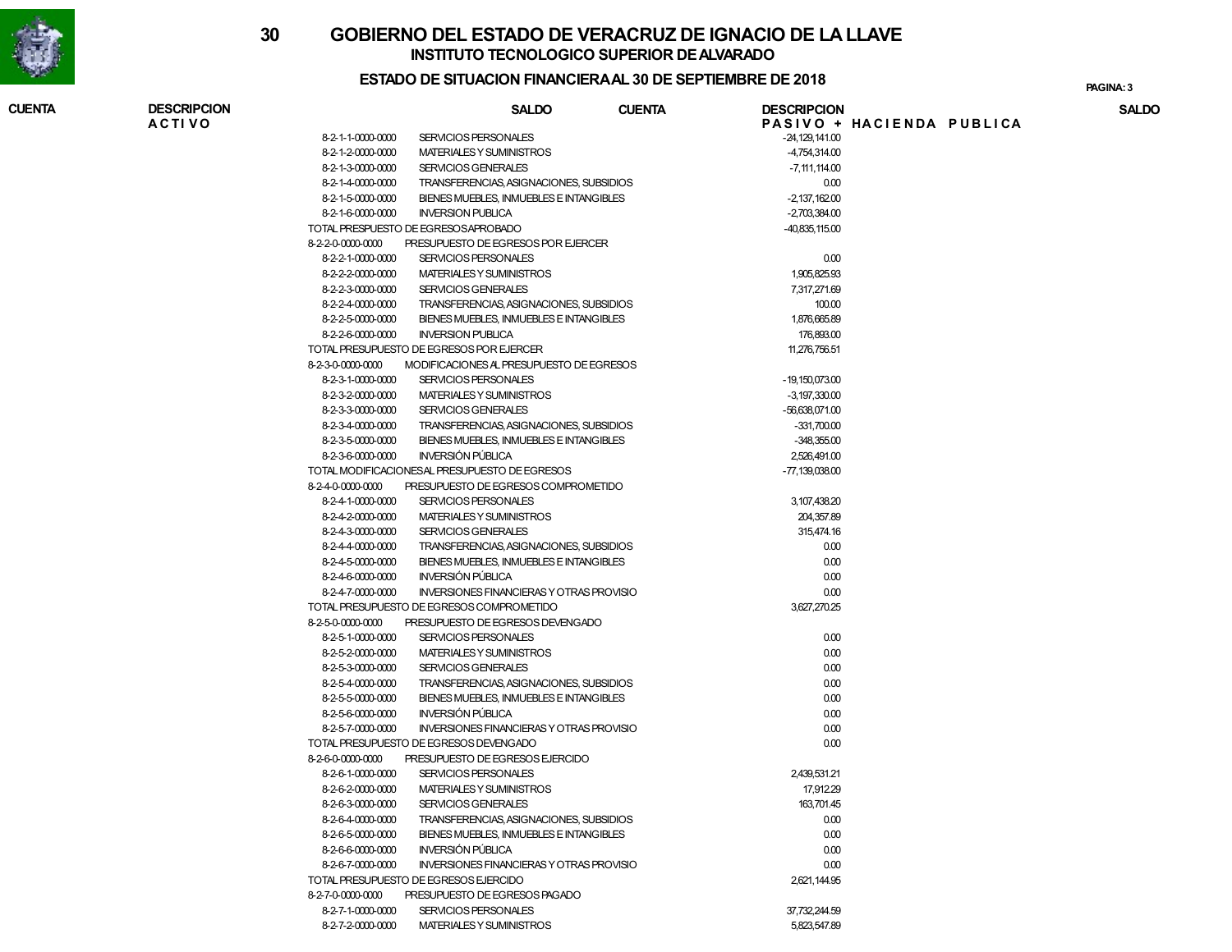

## ESTADO DE SITUACION FINANCIERA AL 30 DE SEPTIEMBRE DE 2018

PAGINA:

| CUENTA | <b>DESCRIPCION</b><br><b>ACTIVO</b> |                   | <b>SALDO</b>                                    | <b>CUENTA</b> | <b>DESCRIPCION</b> | PASIVO + HACIENDA PUBLICA | <b>SALDO</b> |
|--------|-------------------------------------|-------------------|-------------------------------------------------|---------------|--------------------|---------------------------|--------------|
|        |                                     | 8-2-1-1-0000-0000 | SERVICIOS PERSONALES                            |               | $-24, 129, 141.00$ |                           |              |
|        |                                     | 8-2-1-2-0000-0000 | MATERIALES Y SUMINISTROS                        |               | $-4.754.314.00$    |                           |              |
|        |                                     | 8-2-1-3-0000-0000 | <b>SERVICIOS GENERALES</b>                      |               | $-7, 111, 114.00$  |                           |              |
|        |                                     | 8-2-1-4-0000-0000 | TRANSFERENCIAS, ASIGNACIONES, SUBSIDIOS         |               | 0.00               |                           |              |
|        |                                     | 8-2-1-5-0000-0000 | BIENES MUEBLES, INMUEBLES E INTANGIBLES         |               | $-2,137,162.00$    |                           |              |
|        |                                     | 8-2-1-6-0000-0000 | <b>INVERSION PUBLICA</b>                        |               | $-2,703,384.00$    |                           |              |
|        |                                     |                   | TOTAL PRESPUESTO DE EGRESOSAPROBADO             |               | -40,835,115.00     |                           |              |
|        |                                     | 8-2-2-0-0000-0000 | PRESUPUESTO DE EGRESOS POR EJERCER              |               |                    |                           |              |
|        |                                     | 8-2-2-1-0000-0000 | SERVICIOS PERSONALES                            |               | 0.00               |                           |              |
|        |                                     | 8-2-2-2-0000-0000 | MATERIALES Y SUMINISTROS                        |               | 1,905,825.93       |                           |              |
|        |                                     | 8-2-2-3-0000-0000 | SERVICIOS GENERALES                             |               | 7,317,271.69       |                           |              |
|        |                                     | 8-2-2-4-0000-0000 | TRANSFERENCIAS, ASIGNACIONES, SUBSIDIOS         |               | 100.00             |                           |              |
|        |                                     | 8-2-2-5-0000-0000 | BIENES MUEBLES, INMUEBLES E INTANGIBLES         |               | 1,876,665.89       |                           |              |
|        |                                     | 8-2-2-6-0000-0000 | <b>INVERSION PUBLICA</b>                        |               | 176,893.00         |                           |              |
|        |                                     |                   | TOTAL PRESUPUESTO DE EGRESOS POR EJERCER        |               | 11,276,756.51      |                           |              |
|        |                                     | 8-2-3-0-0000-0000 | MODIFICACIONES AL PRESUPUESTO DE EGRESOS        |               |                    |                           |              |
|        |                                     | 8-2-3-1-0000-0000 | SERVICIOS PERSONALES                            |               | $-19,150,073.00$   |                           |              |
|        |                                     | 8-2-3-2-0000-0000 | MATERIALES Y SUMINISTROS                        |               | $-3,197,330.00$    |                           |              |
|        |                                     | 8-2-3-3-0000-0000 | SERVICIOS GENERALES                             |               | -56,638,071.00     |                           |              |
|        |                                     | 8-2-3-4-0000-0000 | TRANSFERENCIAS, ASIGNACIONES, SUBSIDIOS         |               | $-331,700.00$      |                           |              |
|        |                                     | 8-2-3-5-0000-0000 | BIENES MUEBLES, INMUEBLES E INTANGIBLES         |               | $-348,355.00$      |                           |              |
|        |                                     | 8-2-3-6-0000-0000 | <b>INVERSIÓN PÚBLICA</b>                        |               | 2.526.491.00       |                           |              |
|        |                                     |                   | TOTAL MODIFICACIONESAL PRESUPUESTO DE EGRESOS   |               | $-77,139,038.00$   |                           |              |
|        |                                     | 8-2-4-0-0000-0000 | PRESUPUESTO DE EGRESOS COMPROMETIDO             |               |                    |                           |              |
|        |                                     | 8-2-4-1-0000-0000 | SERVICIOS PERSONALES                            |               | 3, 107, 438.20     |                           |              |
|        |                                     | 8-2-4-2-0000-0000 | MATERIALES Y SUMINISTROS                        |               | 204,357.89         |                           |              |
|        |                                     | 8-2-4-3-0000-0000 | SERVICIOS GENERALES                             |               | 315,474.16         |                           |              |
|        |                                     | 8-2-4-4-0000-0000 | TRANSFERENCIAS, ASIGNACIONES, SUBSIDIOS         |               | 0.00               |                           |              |
|        |                                     | 8-2-4-5-0000-0000 | BIENES MUEBLES, INMUEBLES E INTANGIBLES         |               | 0.00               |                           |              |
|        |                                     | 8-2-4-6-0000-0000 | <b>INVERSIÓN PÚBLICA</b>                        |               | 0.00               |                           |              |
|        |                                     | 8-2-4-7-0000-0000 | INVERSIONES FINANCIERAS Y OTRAS PROVISIO        |               | 0.00               |                           |              |
|        |                                     |                   | TOTAL PRESUPUESTO DE EGRESOS COMPROMETIDO       |               | 3,627,270.25       |                           |              |
|        |                                     | 8-2-5-0-0000-0000 | PRESUPUESTO DE EGRESOS DEVENGADO                |               |                    |                           |              |
|        |                                     | 8-2-5-1-0000-0000 | SERVICIOS PERSONALES                            |               | 0.00               |                           |              |
|        |                                     | 8-2-5-2-0000-0000 | MATERIALES Y SUMINISTROS                        |               | 0.00               |                           |              |
|        |                                     | 8-2-5-3-0000-0000 | SERVICIOS GENERALES                             |               | 0.00               |                           |              |
|        |                                     | 8-2-5-4-0000-0000 | TRANSFERENCIAS, ASIGNACIONES, SUBSIDIOS         |               | 0.00               |                           |              |
|        |                                     | 8-2-5-5-0000-0000 | BIENES MUEBLES, INMUEBLES E INTANGIBLES         |               | 0.00               |                           |              |
|        |                                     | 8-2-5-6-0000-0000 | <b>INVERSIÓN PÚBLICA</b>                        |               | 0.00               |                           |              |
|        |                                     | 8-2-5-7-0000-0000 | <b>INVERSIONES FINANCIERAS Y OTRAS PROVISIO</b> |               | 0.00               |                           |              |
|        |                                     |                   | TOTAL PRESUPUESTO DE EGRESOS DEVENGADO          |               | 0.00               |                           |              |
|        |                                     | 8-2-6-0-0000-0000 | PRESUPUESTO DE EGRESOS EJERCIDO                 |               |                    |                           |              |
|        |                                     | 8-2-6-1-0000-0000 | SERVICIOS PERSONALES                            |               | 2,439,531.21       |                           |              |
|        |                                     | 8-2-6-2-0000-0000 | MATERIALES Y SUMINISTROS                        |               | 17,912.29          |                           |              |
|        |                                     | 8-2-6-3-0000-0000 | SERVICIOS GENERALES                             |               | 163,701.45         |                           |              |
|        |                                     | 8-2-6-4-0000-0000 | TRANSFERENCIAS, ASIGNACIONES, SUBSIDIOS         |               | 0.00               |                           |              |
|        |                                     | 8-2-6-5-0000-0000 | BIENES MUEBLES. INMUEBLES E INTANGIBLES         |               | 0.00               |                           |              |
|        |                                     | 8-2-6-6-0000-0000 | <b>INVERSIÓN PÚBLICA</b>                        |               | 0.00               |                           |              |
|        |                                     | 8-2-6-7-0000-0000 | <b>INVERSIONES FINANCIERAS Y OTRAS PROVISIO</b> |               | 0.00               |                           |              |
|        |                                     |                   | TOTAL PRESUPUESTO DE EGRESOS EJERCIDO           |               | 2,621,144.95       |                           |              |
|        |                                     | 8-2-7-0-0000-0000 | PRESUPUESTO DE EGRESOS PAGADO                   |               |                    |                           |              |
|        |                                     | 8-2-7-1-0000-0000 | SERVICIOS PERSONALES                            |               | 37,732,244.59      |                           |              |

8-2-7-2-0000-0000 MATERIALES Y SUMINISTROS 5,823,547.89